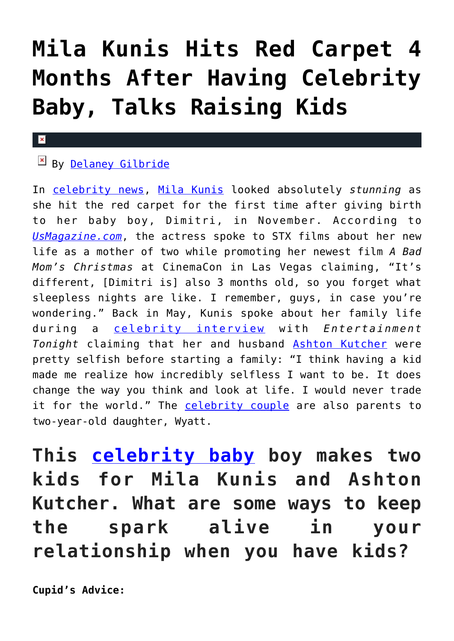## **[Mila Kunis Hits Red Carpet 4](https://cupidspulse.com/117532/mila-kunis-hits-red-carpet-months-after-having-baby/) [Months After Having Celebrity](https://cupidspulse.com/117532/mila-kunis-hits-red-carpet-months-after-having-baby/) [Baby, Talks Raising Kids](https://cupidspulse.com/117532/mila-kunis-hits-red-carpet-months-after-having-baby/)**

## $\mathbf{R}$

## By [Delaney Gilbride](http://cupidspulse.com/116956/delaney-gilbride/)

In [celebrity news](http://cupidspulse.com), [Mila Kunis](http://cupidspulse.com/93035/mila-kunis/) looked absolutely *stunning* as she hit the red carpet for the first time after giving birth to her baby boy, Dimitri, in November. According to *[UsMagazine.com](http://www.usmagazine.com/celebrity-moms/news/mila-kunis-hits-red-carpet-after-welcoming-son-talks-raising-two-kids-w474025)*, the actress spoke to STX films about her new life as a mother of two while promoting her newest film *A Bad Mom's Christmas* at CinemaCon in Las Vegas claiming, "It's different, [Dimitri is] also 3 months old, so you forget what sleepless nights are like. I remember, guys, in case you're wondering." Back in May, Kunis spoke about her family life during a [celebrity interview](http://cupidspulse.com/celebrity-news/celebrity-interviews/) with *Entertainment Tonight* claiming that her and husband [Ashton Kutcher](http://cupidspulse.com/93031/ashton-kutcher/) were pretty selfish before starting a family: "I think having a kid made me realize how incredibly selfless I want to be. It does change the way you think and look at life. I would never trade it for the world." The [celebrity couple](http://cupidspulse.com/celebrity-news/celebrity-dating/) are also parents to two-year-old daughter, Wyatt.

**This [celebrity baby](http://cupidspulse.com/celebrity-news/celebrity-babies/) boy makes two kids for Mila Kunis and Ashton Kutcher. What are some ways to keep the spark alive in your relationship when you have kids?**

**Cupid's Advice:**